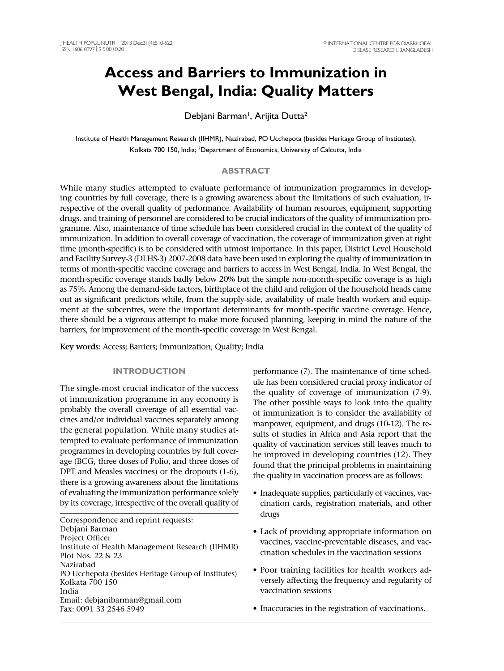# **Access and Barriers to Immunization in West Bengal, India: Quality Matters**

Debjani Barman<sup>1</sup>, Arijita Dutta<sup>2</sup>

Institute of Health Management Research (IIHMR), Nazirabad, PO Ucchepota (besides Heritage Group of Institutes), Kolkata 700 150, India; <sup>2</sup>Department of Economics, University of Calcutta, India

# **ABSTRACT**

While many studies attempted to evaluate performance of immunization programmes in developing countries by full coverage, there is a growing awareness about the limitations of such evaluation, irrespective of the overall quality of performance. Availability of human resources, equipment, supporting drugs, and training of personnel are considered to be crucial indicators of the quality of immunization programme. Also, maintenance of time schedule has been considered crucial in the context of the quality of immunization. In addition to overall coverage of vaccination, the coverage of immunization given at right time (month-specific) is to be considered with utmost importance. In this paper, District Level Household and Facility Survey-3 (DLHS-3) 2007-2008 data have been used in exploring the quality of immunization in terms of month-specific vaccine coverage and barriers to access in West Bengal, India. In West Bengal, the month-specific coverage stands badly below 20% but the simple non-month-specific coverage is as high as 75%. Among the demand-side factors, birthplace of the child and religion of the household heads came out as significant predictors while, from the supply-side, availability of male health workers and equipment at the subcentres, were the important determinants for month-specific vaccine coverage. Hence, there should be a vigorous attempt to make more focused planning, keeping in mind the nature of the barriers, for improvement of the month-specific coverage in West Bengal.

**Key words:** Access; Barriers; Immunization; Quality; India

# **INTRODUCTION**

The single-most crucial indicator of the success of immunization programme in any economy is probably the overall coverage of all essential vaccines and/or individual vaccines separately among the general population. While many studies attempted to evaluate performance of immunization programmes in developing countries by full coverage (BCG, three doses of Polio, and three doses of DPT and Measles vaccines) or the dropouts (1-6), there is a growing awareness about the limitations of evaluating the immunization performance solely by its coverage, irrespective of the overall quality of

Correspondence and reprint requests: Debjani Barman Project Officer Institute of Health Management Research (IIHMR) Plot Nos. 22 & 23 Nazirabad PO Ucchepota (besides Heritage Group of Institutes) Kolkata 700 150 India Email: debjanibarman@gmail.com Fax: 0091 33 2546 5949

performance (7). The maintenance of time schedule has been considered crucial proxy indicator of the quality of coverage of immunization (7-9). The other possible ways to look into the quality of immunization is to consider the availability of manpower, equipment, and drugs (10-12). The results of studies in Africa and Asia report that the quality of vaccination services still leaves much to be improved in developing countries (12). They found that the principal problems in maintaining the quality in vaccination process are as follows:

- Inadequate supplies, particularly of vaccines, vaccination cards, registration materials, and other drugs
- • Lack of providing appropriate information on vaccines, vaccine-preventable diseases, and vaccination schedules in the vaccination sessions
- Poor training facilities for health workers adversely affecting the frequency and regularity of vaccination sessions
- Inaccuracies in the registration of vaccinations.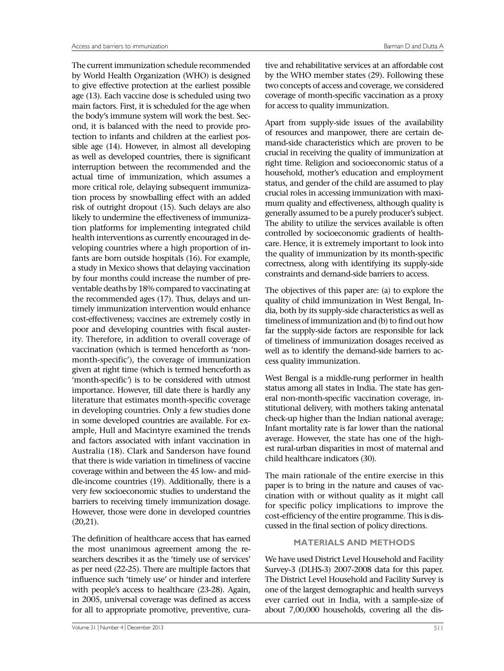The current immunization schedule recommended by World Health Organization (WHO) is designed to give effective protection at the earliest possible age (13). Each vaccine dose is scheduled using two main factors. First, it is scheduled for the age when the body's immune system will work the best. Second, it is balanced with the need to provide protection to infants and children at the earliest possible age (14). However, in almost all developing as well as developed countries, there is significant interruption between the recommended and the actual time of immunization, which assumes a more critical role, delaying subsequent immunization process by snowballing effect with an added risk of outright dropout (15). Such delays are also likely to undermine the effectiveness of immunization platforms for implementing integrated child health interventions as currently encouraged in developing countries where a high proportion of infants are born outside hospitals (16). For example, a study in Mexico shows that delaying vaccination by four months could increase the number of preventable deaths by 18% compared to vaccinating at the recommended ages (17). Thus, delays and untimely immunization intervention would enhance cost-effectiveness; vaccines are extremely costly in poor and developing countries with fiscal austerity. Therefore, in addition to overall coverage of vaccination (which is termed henceforth as 'nonmonth-specific'), the coverage of immunization given at right time (which is termed henceforth as 'month-specific*'*) is to be considered with utmost importance. However, till date there is hardly any literature that estimates month-specific coverage in developing countries. Only a few studies done in some developed countries are available. For example, Hull and Macintyre examined the trends and factors associated with infant vaccination in Australia (18). Clark and Sanderson have found that there is wide variation in timeliness of vaccine coverage within and between the 45 low- and middle-income countries (19). Additionally, there is a very few socioeconomic studies to understand the barriers to receiving timely immunization dosage. However, those were done in developed countries (20,21).

The definition of healthcare access that has earned the most unanimous agreement among the researchers describes it as the 'timely use of services' as per need (22-25). There are multiple factors that influence such 'timely use' or hinder and interfere with people's access to healthcare (23-28). Again, in 2005, universal coverage was defined as access for all to appropriate promotive, preventive, cura-

tive and rehabilitative services at an affordable cost by the WHO member states (29). Following these two concepts of access and coverage, we considered coverage of month-specific vaccination as a proxy for access to quality immunization.

Apart from supply-side issues of the availability of resources and manpower, there are certain demand-side characteristics which are proven to be crucial in receiving the quality of immunization at right time. Religion and socioeconomic status of a household, mother's education and employment status, and gender of the child are assumed to play crucial roles in accessing immunization with maximum quality and effectiveness, although quality is generally assumed to be a purely producer's subject. The ability to utilize the services available is often controlled by socioeconomic gradients of healthcare. Hence, it is extremely important to look into the quality of immunization by its month-specific correctness, along with identifying its supply-side constraints and demand-side barriers to access.

The objectives of this paper are: (a) to explore the quality of child immunization in West Bengal, India, both by its supply-side characteristics as well as timeliness of immunization and (b) to find out how far the supply-side factors are responsible for lack of timeliness of immunization dosages received as well as to identify the demand-side barriers to access quality immunization.

West Bengal is a middle-rung performer in health status among all states in India. The state has general non-month-specific vaccination coverage, institutional delivery, with mothers taking antenatal check-up higher than the Indian national average; Infant mortality rate is far lower than the national average. However, the state has one of the highest rural-urban disparities in most of maternal and child healthcare indicators (30).

The main rationale of the entire exercise in this paper is to bring in the nature and causes of vaccination with or without quality as it might call for specific policy implications to improve the cost-efficiency of the entire programme. This is discussed in the final section of policy directions.

## **MATERIALS AND METHODS**

We have used District Level Household and Facility Survey-3 (DLHS-3) 2007-2008 data for this paper. The District Level Household and Facility Survey is one of the largest demographic and health surveys ever carried out in India, with a sample-size of about 7,00,000 households, covering all the dis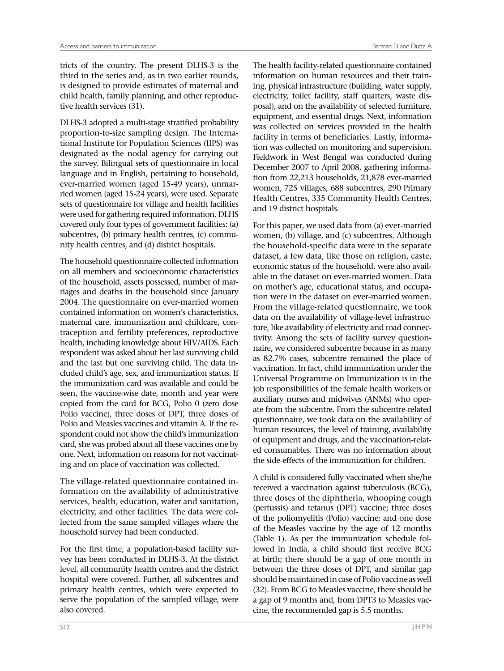tricts of the country. The present DLHS-3 is the third in the series and, as in two earlier rounds, is designed to provide estimates of maternal and child health, family planning, and other reproductive health services (31).

DLHS-3 adopted a multi-stage stratified probability proportion-to-size sampling design. The International Institute for Population Sciences (IIPS) was designated as the nodal agency for carrying out the survey. Bilingual sets of questionnaire in local language and in English, pertaining to household, ever-married women (aged 15-49 years), unmarried women (aged 15-24 years), were used. Separate sets of questionnaire for village and health facilities were used for gathering required information. DLHS covered only four types of government facilities: (a) subcentres, (b) primary health centres, (c) community health centres, and (d) district hospitals.

The household questionnaire collected information on all members and socioeconomic characteristics of the household, assets possessed, number of marriages and deaths in the household since January 2004. The questionnaire on ever-married women contained information on women's characteristics, maternal care, immunization and childcare, contraception and fertility preferences, reproductive health, including knowledge about HIV/AIDS. Each respondent was asked about her last surviving child and the last but one surviving child. The data included child's age, sex, and immunization status. If the immunization card was available and could be seen, the vaccine-wise date, month and year were copied from the card for BCG, Polio 0 (zero dose Polio vaccine), three doses of DPT, three doses of Polio and Measles vaccines and vitamin A. If the respondent could not show the child's immunization card, she was probed about all these vaccines one by one. Next, information on reasons for not vaccinating and on place of vaccination was collected.

The village-related questionnaire contained information on the availability of administrative services, health, education, water and sanitation, electricity, and other facilities. The data were collected from the same sampled villages where the household survey had been conducted.

For the first time, a population-based facility survey has been conducted in DLHS-3. At the district level, all community health centres and the district hospital were covered. Further, all subcentres and primary health centres, which were expected to serve the population of the sampled village, were also covered.

The health facility-related questionnaire contained information on human resources and their training, physical infrastructure (building, water supply, electricity, toilet facility, staff quarters, waste disposal), and on the availability of selected furniture, equipment, and essential drugs. Next, information was collected on services provided in the health facility in terms of beneficiaries. Lastly, information was collected on monitoring and supervision. Fieldwork in West Bengal was conducted during December 2007 to April 2008, gathering information from 22,213 households, 21,878 ever-married women, 725 villages, 688 subcentres, 290 Primary Health Centres, 335 Community Health Centres,

and 19 district hospitals.

For this paper, we used data from (a) ever-married women, (b) village, and (c) subcentres. Although the household-specific data were in the separate dataset, a few data, like those on religion, caste, economic status of the household, were also available in the dataset on ever-married women. Data on mother's age, educational status, and occupation were in the dataset on ever-married women. From the village-related questionnaire, we took data on the availability of village-level infrastructure, like availability of electricity and road connectivity. Among the sets of facility survey questionnaire, we considered subcentre because in as many as 82.7% cases, subcentre remained the place of vaccination. In fact, child immunization under the Universal Programme on Immunization is in the job responsibilities of the female health workers or auxiliary nurses and midwives (ANMs) who operate from the subcentre. From the subcentre-related questionnaire, we took data on the availability of human resources, the level of training, availability of equipment and drugs, and the vaccination-related consumables. There was no information about the side-effects of the immunization for children.

A child is considered fully vaccinated when she/he received a vaccination against tuberculosis (BCG), three doses of the diphtheria, whooping cough (pertussis) and tetanus (DPT) vaccine; three doses of the poliomyelitis (Polio) vaccine; and one dose of the Measles vaccine by the age of 12 months (Table 1). As per the immunization schedule followed in India, a child should first receive BCG at birth; there should be a gap of one month in between the three doses of DPT, and similar gap should be maintained in case of Polio vaccine as well (32). From BCG to Measles vaccine, there should be a gap of 9 months and, from DPT3 to Measles vaccine, the recommended gap is 5.5 months.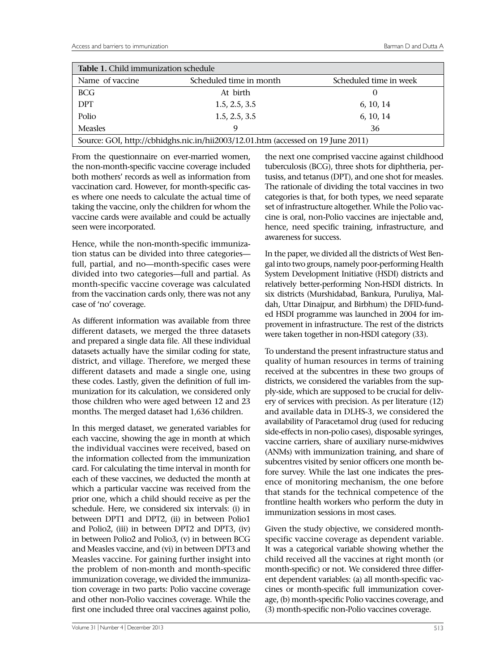| Table 1. Child immunization schedule                                             |                         |                        |  |  |  |
|----------------------------------------------------------------------------------|-------------------------|------------------------|--|--|--|
| Name of vaccine                                                                  | Scheduled time in month | Scheduled time in week |  |  |  |
| <b>BCG</b>                                                                       | At birth                |                        |  |  |  |
| <b>DPT</b>                                                                       | 1.5, 2.5, 3.5           | 6, 10, 14              |  |  |  |
| Polio                                                                            | 1.5, 2.5, 3.5           | 6, 10, 14              |  |  |  |
| Measles                                                                          | 9                       | 36                     |  |  |  |
| Source: GOI, http://cbhidghs.nic.in/hii2003/12.01.htm (accessed on 19 June 2011) |                         |                        |  |  |  |

From the questionnaire on ever-married women, the non-month-specific vaccine coverage included both mothers' records as well as information from vaccination card. However, for month-specific cases where one needs to calculate the actual time of taking the vaccine, only the children for whom the vaccine cards were available and could be actually seen were incorporated.

Hence, while the non-month-specific immunization status can be divided into three categories full, partial, and no—month-specific cases were divided into two categories—full and partial. As month-specific vaccine coverage was calculated from the vaccination cards only, there was not any case of 'no' coverage.

As different information was available from three different datasets, we merged the three datasets and prepared a single data file. All these individual datasets actually have the similar coding for state, district, and village. Therefore, we merged these different datasets and made a single one, using these codes. Lastly, given the definition of full immunization for its calculation, we considered only those children who were aged between 12 and 23 months. The merged dataset had 1,636 children.

In this merged dataset, we generated variables for each vaccine, showing the age in month at which the individual vaccines were received, based on the information collected from the immunization card. For calculating the time interval in month for each of these vaccines, we deducted the month at which a particular vaccine was received from the prior one, which a child should receive as per the schedule. Here, we considered six intervals: (i) in between DPT1 and DPT2, (ii) in between Polio1 and Polio2, (iii) in between DPT2 and DPT3, (iv) in between Polio2 and Polio3, (v) in between BCG and Measles vaccine, and (vi) in between DPT3 and Measles vaccine. For gaining further insight into the problem of non-month and month-specific immunization coverage, we divided the immunization coverage in two parts: Polio vaccine coverage and other non-Polio vaccines coverage. While the first one included three oral vaccines against polio,

the next one comprised vaccine against childhood tuberculosis (BCG), three shots for diphtheria, pertusiss, and tetanus (DPT), and one shot for measles. The rationale of dividing the total vaccines in two categories is that, for both types, we need separate set of infrastructure altogether. While the Polio vaccine is oral, non-Polio vaccines are injectable and, hence, need specific training, infrastructure, and awareness for success.

In the paper, we divided all the districts of West Bengal into two groups, namely poor-performing Health System Development Initiative (HSDI) districts and relatively better-performing Non-HSDI districts. In six districts (Murshidabad, Bankura, Puruliya, Maldah, Uttar Dinajpur, and Birbhum) the DFID-funded HSDI programme was launched in 2004 for improvement in infrastructure. The rest of the districts were taken together in non-HSDI category (33).

To understand the present infrastructure status and quality of human resources in terms of training received at the subcentres in these two groups of districts, we considered the variables from the supply-side, which are supposed to be crucial for delivery of services with precision. As per literature (12) and available data in DLHS-3, we considered the availability of Paracetamol drug (used for reducing side-effects in non-polio cases), disposable syringes, vaccine carriers, share of auxiliary nurse-midwives (ANMs) with immunization training, and share of subcentres visited by senior officers one month before survey. While the last one indicates the presence of monitoring mechanism, the one before that stands for the technical competence of the frontline health workers who perform the duty in immunization sessions in most cases.

Given the study objective, we considered monthspecific vaccine coverage as dependent variable. It was a categorical variable showing whether the child received all the vaccines at right month (or month-specific) or not. We considered three different dependent variables: (a) all month-specific vaccines or month-specific full immunization coverage, (b) month-specific Polio vaccines coverage, and (3) month-specific non-Polio vaccines coverage.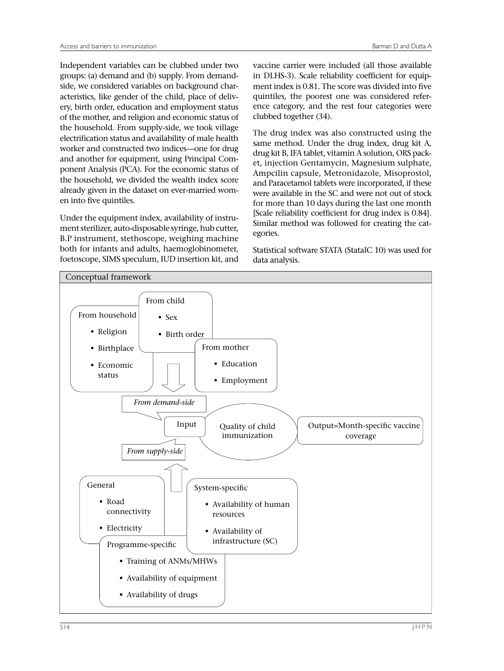Independent variables can be clubbed under two groups: (a) demand and (b) supply. From demandside, we considered variables on background characteristics, like gender of the child, place of delivery, birth order, education and employment status of the mother, and religion and economic status of the household. From supply-side, we took village electrification status and availability of male health worker and constructed two indices—one for drug and another for equipment, using Principal Component Analysis (PCA). For the economic status of the household, we divided the wealth index score already given in the dataset on ever-married women into five quintiles.

Under the equipment index, availability of instrument sterilizer, auto-disposable syringe, hub cutter, B.P instrument, stethoscope, weighing machine both for infants and adults, haemoglobinometer, foetoscope, SIMS speculum, IUD insertion kit, and

vaccine carrier were included (all those available in DLHS-3). Scale reliability coefficient for equipment index is 0.81. The score was divided into five quintiles, the poorest one was considered reference category, and the rest four categories were clubbed together (34).

The drug index was also constructed using the same method. Under the drug index, drug kit A, drug kit B, IFA tablet, vitamin A solution, ORS packet, injection Gentamycin, Magnesium sulphate, Ampcilin capsule, Metronidazole, Misoprostol, and Paracetamol tablets were incorporated, if these were available in the SC and were not out of stock for more than 10 days during the last one month [Scale reliability coefficient for drug index is 0.84]. Similar method was followed for creating the categories.

Statistical software STATA (StataIC 10) was used for data analysis.

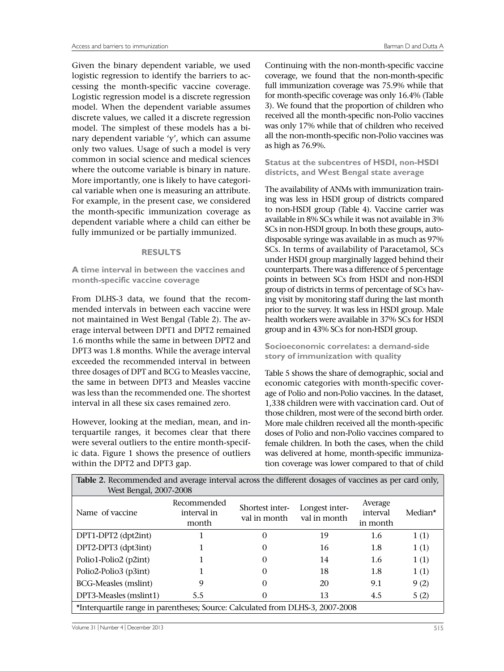Given the binary dependent variable, we used logistic regression to identify the barriers to accessing the month-specific vaccine coverage. Logistic regression model is a discrete regression model. When the dependent variable assumes discrete values, we called it a discrete regression model. The simplest of these models has a binary dependent variable 'y', which can assume only two values. Usage of such a model is very common in social science and medical sciences where the outcome variable is binary in nature. More importantly, one is likely to have categorical variable when one is measuring an attribute. For example, in the present case, we considered the month-specific immunization coverage as dependent variable where a child can either be fully immunized or be partially immunized.

## **RESULTS**

**A time interval in between the vaccines and month-specific vaccine coverage** 

From DLHS-3 data, we found that the recommended intervals in between each vaccine were not maintained in West Bengal (Table 2). The average interval between DPT1 and DPT2 remained 1.6 months while the same in between DPT2 and DPT3 was 1.8 months. While the average interval exceeded the recommended interval in between three dosages of DPT and BCG to Measles vaccine, the same in between DPT3 and Measles vaccine was less than the recommended one. The shortest interval in all these six cases remained zero.

However, looking at the median, mean, and interquartile ranges, it becomes clear that there were several outliers to the entire month-specific data. Figure 1 shows the presence of outliers within the DPT2 and DPT3 gap.

Continuing with the non-month-specific vaccine coverage, we found that the non-month-specific full immunization coverage was 75.9% while that for month-specific coverage was only 16.4% (Table 3). We found that the proportion of children who received all the month-specific non-Polio vaccines was only 17% while that of children who received all the non-month-specific non-Polio vaccines was as high as 76.9%.

**Status at the subcentres of HSDI, non-HSDI districts, and West Bengal state average**

The availability of ANMs with immunization training was less in HSDI group of districts compared to non-HSDI group (Table 4). Vaccine carrier was available in 8% SCs while it was not available in 3% SCs in non-HSDI group. In both these groups, autodisposable syringe was available in as much as 97% SCs. In terms of availability of Paracetamol, SCs under HSDI group marginally lagged behind their counterparts. There was a difference of 5 percentage points in between SCs from HSDI and non-HSDI group of districts in terms of percentage of SCs having visit by monitoring staff during the last month prior to the survey. It was less in HSDI group. Male health workers were available in 37% SCs for HSDI group and in 43% SCs for non-HSDI group.

## **Socioeconomic correlates: a demand-side story of immunization with quality**

Table 5 shows the share of demographic, social and economic categories with month-specific coverage of Polio and non-Polio vaccines. In the dataset, 1,338 children were with vaccination card. Out of those children, most were of the second birth order. More male children received all the month-specific doses of Polio and non-Polio vaccines compared to female children. In both the cases, when the child was delivered at home, month-specific immunization coverage was lower compared to that of child

| Table 2. Recommended and average interval across the different dosages of vaccines as per card only,<br>West Bengal, 2007-2008 |                                     |                                 |                                |                                 |         |
|--------------------------------------------------------------------------------------------------------------------------------|-------------------------------------|---------------------------------|--------------------------------|---------------------------------|---------|
| Name of vaccine                                                                                                                | Recommended<br>interval in<br>month | Shortest inter-<br>val in month | Longest inter-<br>val in month | Average<br>interval<br>in month | Median* |
| DPT1-DPT2 (dpt2int)                                                                                                            |                                     |                                 | 19                             | 1.6                             | 1(1)    |
| DPT2-DPT3 (dpt3int)                                                                                                            |                                     |                                 | 16                             | 1.8                             | 1(1)    |
| Polio1-Polio2 (p2int)                                                                                                          |                                     | $\Omega$                        | 14                             | 1.6                             | 1(1)    |
| Polio2-Polio3 (p3int)                                                                                                          |                                     |                                 | 18                             | 1.8                             | 1(1)    |
| <b>BCG-Measles</b> (mslint)                                                                                                    | 9                                   |                                 | 20                             | 9.1                             | 9(2)    |
| DPT3-Measles (mslint1)                                                                                                         | 5.5                                 |                                 | 13                             | 4.5                             | 5(2)    |
| *Interquartile range in parentheses; Source: Calculated from DLHS-3, 2007-2008                                                 |                                     |                                 |                                |                                 |         |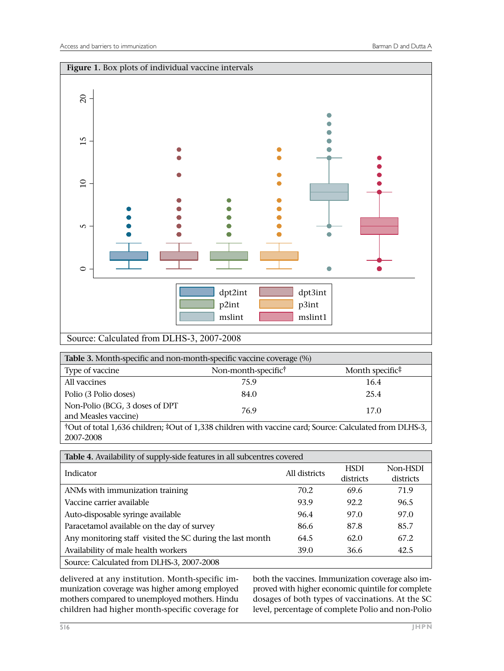

Source: Calculated from DLHS-3, 2007-2008

| Table 3. Month-specific and non-month-specific vaccine coverage (%)                                     |                                 |                             |  |  |  |
|---------------------------------------------------------------------------------------------------------|---------------------------------|-----------------------------|--|--|--|
| Type of vaccine                                                                                         | Non-month-specific <sup>†</sup> | Month specific <sup>#</sup> |  |  |  |
| All vaccines                                                                                            | 75.9                            | 16.4                        |  |  |  |
| Polio (3 Polio doses)                                                                                   | 84.0                            | 25.4                        |  |  |  |
| Non-Polio (BCG, 3 doses of DPT)<br>and Measles vaccine)                                                 | 76.9                            | 17.0                        |  |  |  |
| †Out of total 1,636 children; ‡Out of 1,338 children with vaccine card; Source: Calculated from DLHS-3, |                                 |                             |  |  |  |

<sup>2007-2008</sup>

| Table 4. Availability of supply-side features in all subcentres covered |               |             |           |  |  |
|-------------------------------------------------------------------------|---------------|-------------|-----------|--|--|
| Indicator                                                               | All districts | <b>HSDI</b> | Non-HSDI  |  |  |
|                                                                         |               | districts   | districts |  |  |
| ANMs with immunization training                                         | 70.2          | 69.6        | 71.9      |  |  |
| Vaccine carrier available                                               | 93.9          | 92.2        | 96.5      |  |  |
| Auto-disposable syringe available                                       | 96.4          | 97.0        | 97.0      |  |  |
| Paracetamol available on the day of survey                              | 86.6          | 87.8        | 85.7      |  |  |
| Any monitoring staff visited the SC during the last month               | 64.5          | 62.0        | 67.2      |  |  |
| Availability of male health workers                                     | 39.0          | 36.6        | 42.5      |  |  |
| Source: Calculated from DLHS-3, 2007-2008                               |               |             |           |  |  |

delivered at any institution. Month-specific immunization coverage was higher among employed mothers compared to unemployed mothers. Hindu children had higher month-specific coverage for both the vaccines. Immunization coverage also improved with higher economic quintile for complete dosages of both types of vaccinations. At the SC level, percentage of complete Polio and non-Polio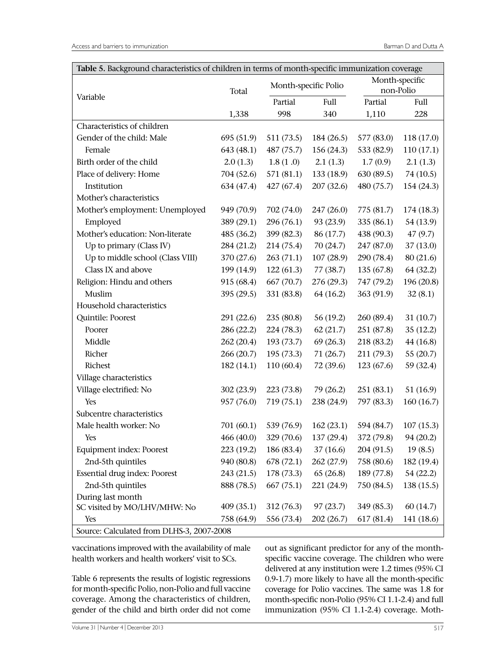| Table 5. Background characteristics of children in terms of month-specific immunization coverage |            |                      |            |                             |            |
|--------------------------------------------------------------------------------------------------|------------|----------------------|------------|-----------------------------|------------|
|                                                                                                  | Total      | Month-specific Polio |            | Month-specific<br>non-Polio |            |
| Variable                                                                                         |            | Partial              | Full       | Partial                     | Full       |
|                                                                                                  | 1,338      | 998                  | 340        | 1,110                       | 228        |
| Characteristics of children                                                                      |            |                      |            |                             |            |
| Gender of the child: Male                                                                        | 695 (51.9) | 511 (73.5)           | 184(26.5)  | 577 (83.0)                  | 118 (17.0) |
| Female                                                                                           | 643 (48.1) | 487 (75.7)           | 156(24.3)  | 533 (82.9)                  | 110(17.1)  |
| Birth order of the child                                                                         | 2.0(1.3)   | 1.8(1.0)             | 2.1(1.3)   | 1.7(0.9)                    | 2.1(1.3)   |
| Place of delivery: Home                                                                          | 704 (52.6) | 571 (81.1)           | 133 (18.9) | 630 (89.5)                  | 74 (10.5)  |
| Institution                                                                                      | 634 (47.4) | 427 (67.4)           | 207 (32.6) | 480 (75.7)                  | 154 (24.3) |
| Mother's characteristics                                                                         |            |                      |            |                             |            |
| Mother's employment: Unemployed                                                                  | 949 (70.9) | 702 (74.0)           | 247 (26.0) | 775 (81.7)                  | 174(18.3)  |
| Employed                                                                                         | 389 (29.1) | 296 (76.1)           | 93 (23.9)  | 335 (86.1)                  | 54 (13.9)  |
| Mother's education: Non-literate                                                                 | 485 (36.2) | 399 (82.3)           | 86 (17.7)  | 438 (90.3)                  | 47(9.7)    |
| Up to primary (Class IV)                                                                         | 284 (21.2) | 214 (75.4)           | 70(24.7)   | 247 (87.0)                  | 37(13.0)   |
| Up to middle school (Class VIII)                                                                 | 370 (27.6) | 263(71.1)            | 107 (28.9) | 290 (78.4)                  | 80 (21.6)  |
| Class IX and above                                                                               | 199 (14.9) | 122(61.3)            | 77 (38.7)  | 135 (67.8)                  | 64 (32.2)  |
| Religion: Hindu and others                                                                       | 915 (68.4) | 667 (70.7)           | 276 (29.3) | 747 (79.2)                  | 196 (20.8) |
| Muslim                                                                                           | 395 (29.5) | 331 (83.8)           | 64 (16.2)  | 363 (91.9)                  | 32(8.1)    |
| Household characteristics                                                                        |            |                      |            |                             |            |
| Quintile: Poorest                                                                                | 291 (22.6) | 235 (80.8)           | 56(19.2)   | 260 (89.4)                  | 31(10.7)   |
| Poorer                                                                                           | 286 (22.2) | 224 (78.3)           | 62(21.7)   | 251 (87.8)                  | 35(12.2)   |
| Middle                                                                                           | 262 (20.4) | 193(73.7)            | 69(26.3)   | 218 (83.2)                  | 44 (16.8)  |
| Richer                                                                                           | 266 (20.7) | 195 (73.3)           | 71(26.7)   | 211 (79.3)                  | 55 (20.7)  |
| Richest                                                                                          | 182(14.1)  | 110(60.4)            | 72 (39.6)  | 123 (67.6)                  | 59 (32.4)  |
| Village characteristics                                                                          |            |                      |            |                             |            |
| Village electrified: No                                                                          | 302(23.9)  | 223 (73.8)           | 79 (26.2)  | 251 (83.1)                  | 51(16.9)   |
| Yes                                                                                              | 957 (76.0) | 719 (75.1)           | 238 (24.9) | 797 (83.3)                  | 160(16.7)  |
| Subcentre characteristics                                                                        |            |                      |            |                             |            |
| Male health worker: No                                                                           | 701(60.1)  | 539 (76.9)           | 162(23.1)  | 594 (84.7)                  | 107(15.3)  |
| <b>Yes</b>                                                                                       | 466 (40.0) | 329 (70.6)           | 137(29.4)  | 372 (79.8)                  | 94 (20.2)  |
| Equipment index: Poorest                                                                         | 223 (19.2) | 186 (83.4)           | 37(16.6)   | 204 (91.5)                  | 19(8.5)    |
| 2nd-5th quintiles                                                                                | 940 (80.8) | 678 (72.1)           | 262(27.9)  | 758 (80.6)                  | 182 (19.4) |
| Essential drug index: Poorest                                                                    | 243 (21.5) | 178(73.3)            | 65(26.8)   | 189 (77.8)                  | 54 (22.2)  |
| 2nd-5th quintiles                                                                                | 888 (78.5) | 667 (75.1)           | 221 (24.9) | 750 (84.5)                  | 138(15.5)  |
| During last month                                                                                |            |                      |            |                             |            |
| SC visited by MO/LHV/MHW: No                                                                     | 409(35.1)  | 312(76.3)            | 97(23.7)   | 349 (85.3)                  | 60(14.7)   |
| Yes                                                                                              | 758 (64.9) | 556 (73.4)           | 202(26.7)  | 617 (81.4)                  | 141 (18.6) |
| Source: Calculated from DLHS-3, 2007-2008                                                        |            |                      |            |                             |            |

vaccinations improved with the availability of male health workers and health workers' visit to SCs.

Table 6 represents the results of logistic regressions for month-specific Polio, non-Polio and full vaccine coverage. Among the characteristics of children, gender of the child and birth order did not come out as significant predictor for any of the monthspecific vaccine coverage. The children who were delivered at any institution were 1.2 times (95% CI 0.9-1.7) more likely to have all the month-specific coverage for Polio vaccines. The same was 1.8 for month-specific non-Polio (95% CI 1.1-2.4) and full immunization (95% CI 1.1-2.4) coverage. Moth-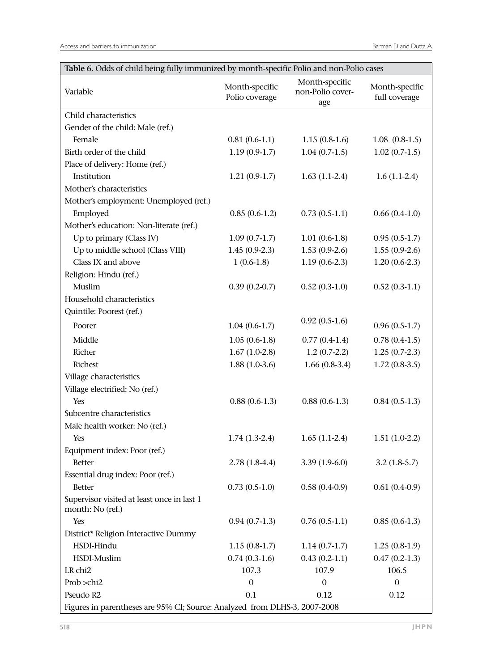| Table 6. Odds of child being fully immunized by month-specific Polio and non-Polio cases |                                  |                                           |                                 |  |
|------------------------------------------------------------------------------------------|----------------------------------|-------------------------------------------|---------------------------------|--|
| Variable                                                                                 | Month-specific<br>Polio coverage | Month-specific<br>non-Polio cover-<br>age | Month-specific<br>full coverage |  |
| Child characteristics                                                                    |                                  |                                           |                                 |  |
| Gender of the child: Male (ref.)                                                         |                                  |                                           |                                 |  |
| Female                                                                                   | $0.81(0.6-1.1)$                  | $1.15(0.8-1.6)$                           | $1.08$ $(0.8-1.5)$              |  |
| Birth order of the child                                                                 | $1.19(0.9-1.7)$                  | $1.04(0.7-1.5)$                           | $1.02(0.7-1.5)$                 |  |
| Place of delivery: Home (ref.)                                                           |                                  |                                           |                                 |  |
| Institution                                                                              | $1.21(0.9-1.7)$                  | $1.63(1.1-2.4)$                           | $1.6(1.1-2.4)$                  |  |
| Mother's characteristics                                                                 |                                  |                                           |                                 |  |
| Mother's employment: Unemployed (ref.)                                                   |                                  |                                           |                                 |  |
| Employed                                                                                 | $0.85(0.6-1.2)$                  | $0.73(0.5-1.1)$                           | $0.66(0.4-1.0)$                 |  |
| Mother's education: Non-literate (ref.)                                                  |                                  |                                           |                                 |  |
| Up to primary (Class IV)                                                                 | $1.09(0.7-1.7)$                  | $1.01(0.6-1.8)$                           | $0.95(0.5-1.7)$                 |  |
| Up to middle school (Class VIII)                                                         | $1.45(0.9-2.3)$                  | $1.53(0.9-2.6)$                           | $1.55(0.9-2.6)$                 |  |
| Class IX and above                                                                       | $1(0.6-1.8)$                     | $1.19(0.6-2.3)$                           | $1.20(0.6-2.3)$                 |  |
| Religion: Hindu (ref.)                                                                   |                                  |                                           |                                 |  |
| Muslim                                                                                   | $0.39(0.2-0.7)$                  | $0.52(0.3-1.0)$                           | $0.52(0.3-1.1)$                 |  |
| Household characteristics                                                                |                                  |                                           |                                 |  |
| Quintile: Poorest (ref.)                                                                 |                                  |                                           |                                 |  |
| Poorer                                                                                   | $1.04(0.6-1.7)$                  | $0.92(0.5-1.6)$                           | $0.96(0.5-1.7)$                 |  |
| Middle                                                                                   | $1.05(0.6-1.8)$                  | $0.77(0.4-1.4)$                           | $0.78(0.4-1.5)$                 |  |
| Richer                                                                                   | $1.67(1.0-2.8)$                  | $1.2(0.7-2.2)$                            | $1.25(0.7-2.3)$                 |  |
| Richest                                                                                  | $1.88(1.0-3.6)$                  | $1.66(0.8-3.4)$                           | $1.72(0.8-3.5)$                 |  |
| Village characteristics                                                                  |                                  |                                           |                                 |  |
| Village electrified: No (ref.)                                                           |                                  |                                           |                                 |  |
| Yes                                                                                      | $0.88(0.6-1.3)$                  | $0.88(0.6-1.3)$                           | $0.84(0.5-1.3)$                 |  |
| Subcentre characteristics                                                                |                                  |                                           |                                 |  |
| Male health worker: No (ref.)                                                            |                                  |                                           |                                 |  |
| Yes                                                                                      | $1.74(1.3-2.4)$                  | $1.65(1.1-2.4)$                           | $1.51(1.0-2.2)$                 |  |
| Equipment index: Poor (ref.)                                                             |                                  |                                           |                                 |  |
| <b>Better</b>                                                                            | $2.78(1.8-4.4)$                  | $3.39(1.9-6.0)$                           | $3.2(1.8-5.7)$                  |  |
| Essential drug index: Poor (ref.)                                                        |                                  |                                           |                                 |  |
| <b>Better</b>                                                                            | $0.73(0.5-1.0)$                  | $0.58(0.4-0.9)$                           | $0.61(0.4-0.9)$                 |  |
| Supervisor visited at least once in last 1<br>month: No (ref.)                           |                                  |                                           |                                 |  |
| Yes                                                                                      | $0.94(0.7-1.3)$                  | $0.76(0.5-1.1)$                           | $0.85(0.6-1.3)$                 |  |
| District* Religion Interactive Dummy                                                     |                                  |                                           |                                 |  |
| HSDI-Hindu                                                                               | $1.15(0.8-1.7)$                  | $1.14(0.7-1.7)$                           | $1.25(0.8-1.9)$                 |  |
| HSDI-Muslim                                                                              | $0.74(0.3-1.6)$                  | $0.43(0.2-1.1)$                           | $0.47(0.2-1.3)$                 |  |
| LR chi <sub>2</sub>                                                                      | 107.3                            | 107.9                                     | 106.5                           |  |
| Prob > chi2                                                                              | $\overline{0}$                   | $\boldsymbol{0}$                          | $\mathbf{0}$                    |  |
| Pseudo R2                                                                                | 0.1                              | 0.12                                      | 0.12                            |  |
| Figures in parentheses are 95% CI; Source: Analyzed from DLHS-3, 2007-2008               |                                  |                                           |                                 |  |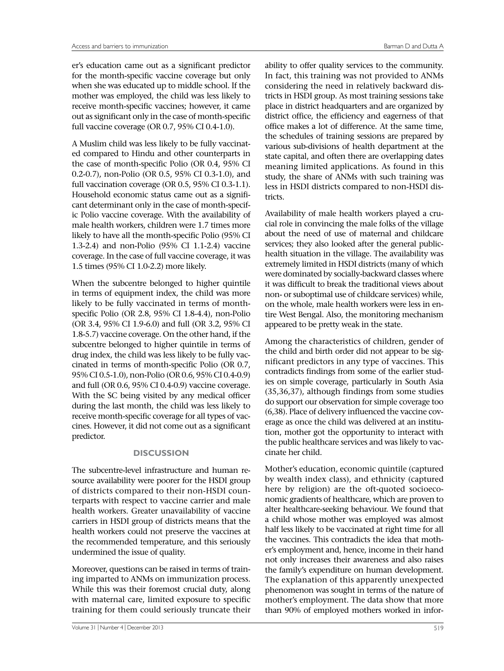er's education came out as a significant predictor for the month-specific vaccine coverage but only when she was educated up to middle school. If the mother was employed, the child was less likely to receive month-specific vaccines; however, it came out as significant only in the case of month-specific full vaccine coverage (OR 0.7, 95% CI 0.4-1.0).

A Muslim child was less likely to be fully vaccinated compared to Hindu and other counterparts in the case of month-specific Polio (OR 0.4, 95% CI 0.2-0.7), non-Polio (OR 0.5, 95% CI 0.3-1.0), and full vaccination coverage (OR 0.5, 95% CI 0.3-1.1). Household economic status came out as a significant determinant only in the case of month-specific Polio vaccine coverage. With the availability of male health workers, children were 1.7 times more likely to have all the month-specific Polio (95% CI 1.3-2.4) and non-Polio (95% CI 1.1-2.4) vaccine coverage. In the case of full vaccine coverage, it was 1.5 times (95% CI 1.0-2.2) more likely.

When the subcentre belonged to higher quintile in terms of equipment index, the child was more likely to be fully vaccinated in terms of monthspecific Polio (OR 2.8, 95% CI 1.8-4.4), non-Polio (OR 3.4, 95% CI 1.9-6.0) and full (OR 3.2, 95% CI 1.8-5.7) vaccine coverage. On the other hand, if the subcentre belonged to higher quintile in terms of drug index, the child was less likely to be fully vaccinated in terms of month-specific Polio (OR 0.7, 95% CI 0.5-1.0), non-Polio (OR 0.6, 95% CI 0.4-0.9) and full (OR 0.6, 95% CI 0.4-0.9) vaccine coverage. With the SC being visited by any medical officer during the last month, the child was less likely to receive month-specific coverage for all types of vaccines. However, it did not come out as a significant predictor.

## **DISCUSSION**

The subcentre-level infrastructure and human resource availability were poorer for the HSDI group of districts compared to their non-HSDI counterparts with respect to vaccine carrier and male health workers. Greater unavailability of vaccine carriers in HSDI group of districts means that the health workers could not preserve the vaccines at the recommended temperature, and this seriously undermined the issue of quality.

Moreover, questions can be raised in terms of training imparted to ANMs on immunization process. While this was their foremost crucial duty, along with maternal care, limited exposure to specific training for them could seriously truncate their

ability to offer quality services to the community. In fact, this training was not provided to ANMs considering the need in relatively backward districts in HSDI group. As most training sessions take place in district headquarters and are organized by district office, the efficiency and eagerness of that office makes a lot of difference. At the same time, the schedules of training sessions are prepared by various sub-divisions of health department at the state capital, and often there are overlapping dates meaning limited applications. As found in this study, the share of ANMs with such training was less in HSDI districts compared to non-HSDI districts.

Availability of male health workers played a crucial role in convincing the male folks of the village about the need of use of maternal and childcare services; they also looked after the general publichealth situation in the village. The availability was extremely limited in HSDI districts (many of which were dominated by socially-backward classes where it was difficult to break the traditional views about non- or suboptimal use of childcare services) while, on the whole, male health workers were less in entire West Bengal. Also, the monitoring mechanism appeared to be pretty weak in the state.

Among the characteristics of children, gender of the child and birth order did not appear to be significant predictors in any type of vaccines. This contradicts findings from some of the earlier studies on simple coverage, particularly in South Asia (35,36,37), although findings from some studies do support our observation for simple coverage too (6,38). Place of delivery influenced the vaccine coverage as once the child was delivered at an institution, mother got the opportunity to interact with the public healthcare services and was likely to vaccinate her child.

Mother's education, economic quintile (captured by wealth index class), and ethnicity (captured here by religion) are the oft-quoted socioeconomic gradients of healthcare, which are proven to alter healthcare-seeking behaviour. We found that a child whose mother was employed was almost half less likely to be vaccinated at right time for all the vaccines. This contradicts the idea that mother's employment and, hence, income in their hand not only increases their awareness and also raises the family's expenditure on human development. The explanation of this apparently unexpected phenomenon was sought in terms of the nature of mother's employment. The data show that more than 90% of employed mothers worked in infor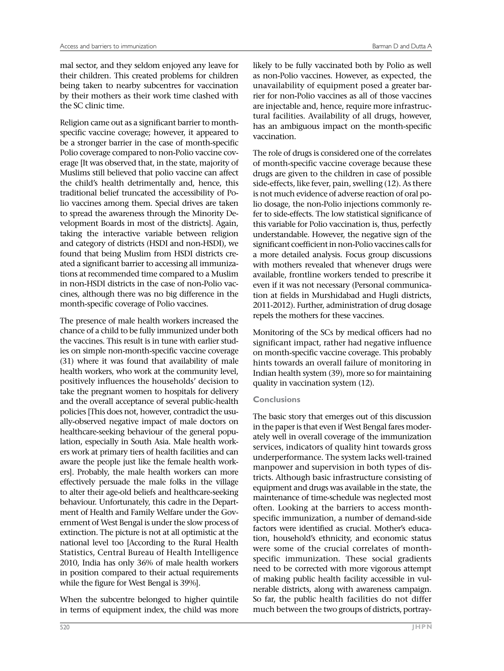mal sector, and they seldom enjoyed any leave for their children. This created problems for children being taken to nearby subcentres for vaccination by their mothers as their work time clashed with the SC clinic time.

Religion came out as a significant barrier to monthspecific vaccine coverage; however, it appeared to be a stronger barrier in the case of month-specific Polio coverage compared to non-Polio vaccine coverage [It was observed that, in the state, majority of Muslims still believed that polio vaccine can affect the child's health detrimentally and, hence, this traditional belief truncated the accessibility of Polio vaccines among them. Special drives are taken to spread the awareness through the Minority Development Boards in most of the districts]. Again, taking the interactive variable between religion and category of districts (HSDI and non-HSDI), we found that being Muslim from HSDI districts created a significant barrier to accessing all immunizations at recommended time compared to a Muslim in non-HSDI districts in the case of non-Polio vaccines, although there was no big difference in the month-specific coverage of Polio vaccines.

The presence of male health workers increased the chance of a child to be fully immunized under both the vaccines. This result is in tune with earlier studies on simple non-month-specific vaccine coverage (31) where it was found that availability of male health workers, who work at the community level, positively influences the households' decision to take the pregnant women to hospitals for delivery and the overall acceptance of several public-health policies [This does not, however, contradict the usually-observed negative impact of male doctors on healthcare-seeking behaviour of the general population, especially in South Asia. Male health workers work at primary tiers of health facilities and can aware the people just like the female health workers]. Probably, the male health workers can more effectively persuade the male folks in the village to alter their age-old beliefs and healthcare-seeking behaviour. Unfortunately, this cadre in the Department of Health and Family Welfare under the Government of West Bengal is under the slow process of extinction. The picture is not at all optimistic at the national level too [According to the Rural Health Statistics, Central Bureau of Health Intelligence 2010, India has only 36% of male health workers in position compared to their actual requirements while the figure for West Bengal is 39%].

When the subcentre belonged to higher quintile in terms of equipment index, the child was more

likely to be fully vaccinated both by Polio as well as non-Polio vaccines. However, as expected, the unavailability of equipment posed a greater barrier for non-Polio vaccines as all of those vaccines are injectable and, hence, require more infrastructural facilities. Availability of all drugs, however, has an ambiguous impact on the month-specific vaccination.

The role of drugs is considered one of the correlates of month-specific vaccine coverage because these drugs are given to the children in case of possible side-effects, like fever, pain, swelling (12). As there is not much evidence of adverse reaction of oral polio dosage, the non-Polio injections commonly refer to side-effects. The low statistical significance of this variable for Polio vaccination is, thus, perfectly understandable. However, the negative sign of the significant coefficient in non-Polio vaccines calls for a more detailed analysis. Focus group discussions with mothers revealed that whenever drugs were available, frontline workers tended to prescribe it even if it was not necessary (Personal communication at fields in Murshidabad and Hugli districts, 2011-2012). Further, administration of drug dosage repels the mothers for these vaccines.

Monitoring of the SCs by medical officers had no significant impact, rather had negative influence on month-specific vaccine coverage. This probably hints towards an overall failure of monitoring in Indian health system (39), more so for maintaining quality in vaccination system (12).

# **Conclusions**

The basic story that emerges out of this discussion in the paper is that even if West Bengal fares moderately well in overall coverage of the immunization services, indicators of quality hint towards gross underperformance. The system lacks well-trained manpower and supervision in both types of districts. Although basic infrastructure consisting of equipment and drugs was available in the state, the maintenance of time-schedule was neglected most often. Looking at the barriers to access monthspecific immunization, a number of demand-side factors were identified as crucial. Mother's education, household's ethnicity, and economic status were some of the crucial correlates of monthspecific immunization. These social gradients need to be corrected with more vigorous attempt of making public health facility accessible in vulnerable districts, along with awareness campaign. So far, the public health facilities do not differ much between the two groups of districts, portray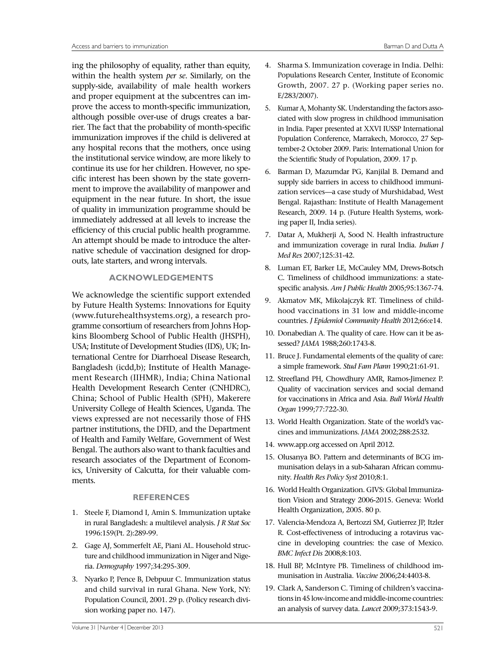ing the philosophy of equality, rather than equity, within the health system *per se*. Similarly, on the supply-side, availability of male health workers and proper equipment at the subcentres can improve the access to month-specific immunization, although possible over-use of drugs creates a barrier. The fact that the probability of month-specific immunization improves if the child is delivered at any hospital recons that the mothers, once using the institutional service window, are more likely to continue its use for her children. However, no specific interest has been shown by the state government to improve the availability of manpower and equipment in the near future. In short, the issue of quality in immunization programme should be immediately addressed at all levels to increase the efficiency of this crucial public health programme. An attempt should be made to introduce the alternative schedule of vaccination designed for dropouts, late starters, and wrong intervals.

## **ACKNOWLEDGEMENTS**

We acknowledge the scientific support extended by Future Health Systems: Innovations for Equity (www.futurehealthsystems.org), a research programme consortium of researchers from Johns Hopkins Bloomberg School of Public Health (JHSPH), USA; Institute of Development Studies (IDS), UK; International Centre for Diarrhoeal Disease Research, Bangladesh (icdd,b); Institute of Health Management Research (IIHMR), India; China National Health Development Research Center (CNHDRC), China; School of Public Health (SPH), Makerere University College of Health Sciences, Uganda. The views expressed are not necessarily those of FHS partner institutions, the DFID, and the Department of Health and Family Welfare, Government of West Bengal. The authors also want to thank faculties and research associates of the Department of Economics, University of Calcutta, for their valuable comments.

#### **REFERENCES**

- 1. Steele F, Diamond I, Amin S. Immunization uptake in rural Bangladesh: a multilevel analysis. *J R Stat Soc*  1996:159(Pt. 2):289-99.
- 2. Gage AJ, Sommerfelt AE, Piani AL. Household structure and childhood immunization in Niger and Nigeria. *Demography* 1997;34:295-309.
- 3. Nyarko P, Pence B, Debpuur C. Immunization status and child survival in rural Ghana. New York, NY: Population Council, 2001. 29 p. (Policy research division working paper no. 147).
- 4. Sharma S. Immunization coverage in India. Delhi: Populations Research Center, Institute of Economic Growth, 2007. 27 p. (Working paper series no. E/283/2007).
- 5. Kumar A, Mohanty SK. Understanding the factors associated with slow progress in childhood immunisation in India. Paper presented at XXVI IUSSP International Population Conference, Marrakech, Morocco, 27 September-2 October 2009. Paris: International Union for the Scientific Study of Population, 2009. 17 p.
- 6. Barman D, Mazumdar PG, Kanjilal B. Demand and supply side barriers in access to childhood immunization services—a case study of Murshidabad, West Bengal. Rajasthan: Institute of Health Management Research, 2009. 14 p. (Future Health Systems, working paper II, India series).
- 7. Datar A, Mukherji A, Sood N. Health infrastructure and immunization coverage in rural India. *Indian J Med Res* 2007;125:31-42.
- 8. Luman ET, Barker LE, McCauley MM, Drews-Botsch C. Timeliness of childhood immunizations: a statespecific analysis. *Am J Public Health* 2005;95:1367-74.
- 9. Akmatov MK, Mikolajczyk RT. Timeliness of childhood vaccinations in 31 low and middle-income countries. *J Epidemiol Community Health* 2012;66:e14.
- 10. Donabedian A. The quality of care. How can it be assessed? *JAMA* 1988;260:1743-8.
- 11. Bruce J. Fundamental elements of the quality of care: a simple framework. *Stud Fam Plann* 1990;21:61-91.
- 12. Streefland PH, Chowdhury AMR, Ramos-Jimenez P. Quality of vaccination services and social demand for vaccinations in Africa and Asia. *Bull World Health Organ* 1999;77:722-30.
- 13. World Health Organization. State of the world's vaccines and immunizations. *JAMA* 2002;288:2532.
- 14. www.app.org accessed on April 2012.
- 15. Olusanya BO. Pattern and determinants of BCG immunisation delays in a sub-Saharan African community. *Health Res Policy Syst* 2010;8:1.
- 16. World Health Organization. GIVS: Global Immunization Vision and Strategy 2006-2015. Geneva: World Health Organization, 2005. 80 p.
- 17. Valencia-Mendoza A, Bertozzi SM, Gutierrez JP, Itzler R. Cost-effectiveness of introducing a rotavirus vaccine in developing countries: the case of Mexico. *BMC Infect Dis* 2008;8:103.
- 18. Hull BP, McIntyre PB. Timeliness of childhood immunisation in Australia. *Vaccine* 2006;24:4403-8.
- 19. Clark A, Sanderson C. Timing of children's vaccinations in 45 low-income and middle-income countries: an analysis of survey data. *Lancet* 2009;373:1543-9.